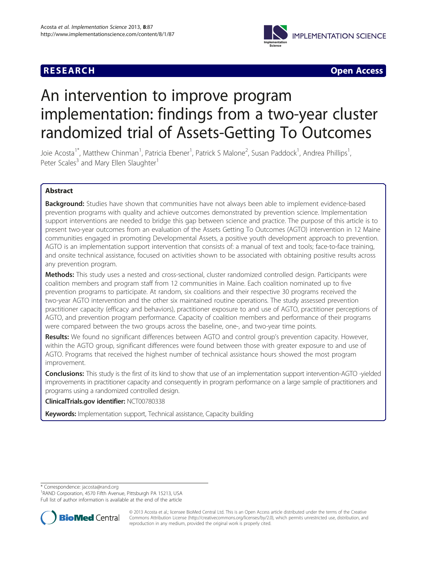## **RESEARCH CHEAR CHEAR CHEAR CHEAR CHEAR CHEAR CHEAR CHEAR CHEAR CHEAR CHEAR CHEAR CHEAR CHEAR CHEAR CHEAR CHEAR**



# An intervention to improve program implementation: findings from a two-year cluster randomized trial of Assets-Getting To Outcomes

Joie Acosta<sup>1\*</sup>, Matthew Chinman<sup>1</sup>, Patricia Ebener<sup>1</sup>, Patrick S Malone<sup>2</sup>, Susan Paddock<sup>1</sup>, Andrea Phillips<sup>1</sup> , Peter Scales<sup>3</sup> and Mary Ellen Slaughter<sup>1</sup>

## Abstract

Background: Studies have shown that communities have not always been able to implement evidence-based prevention programs with quality and achieve outcomes demonstrated by prevention science. Implementation support interventions are needed to bridge this gap between science and practice. The purpose of this article is to present two-year outcomes from an evaluation of the Assets Getting To Outcomes (AGTO) intervention in 12 Maine communities engaged in promoting Developmental Assets, a positive youth development approach to prevention. AGTO is an implementation support intervention that consists of: a manual of text and tools; face-to-face training, and onsite technical assistance, focused on activities shown to be associated with obtaining positive results across any prevention program.

Methods: This study uses a nested and cross-sectional, cluster randomized controlled design. Participants were coalition members and program staff from 12 communities in Maine. Each coalition nominated up to five prevention programs to participate. At random, six coalitions and their respective 30 programs received the two-year AGTO intervention and the other six maintained routine operations. The study assessed prevention practitioner capacity (efficacy and behaviors), practitioner exposure to and use of AGTO, practitioner perceptions of AGTO, and prevention program performance. Capacity of coalition members and performance of their programs were compared between the two groups across the baseline, one-, and two-year time points.

Results: We found no significant differences between AGTO and control group's prevention capacity. However, within the AGTO group, significant differences were found between those with greater exposure to and use of AGTO. Programs that received the highest number of technical assistance hours showed the most program improvement.

**Conclusions:** This study is the first of its kind to show that use of an implementation support intervention-AGTO -yielded improvements in practitioner capacity and consequently in program performance on a large sample of practitioners and programs using a randomized controlled design.

## ClinicalTrials.gov identifier: [NCT00780338](http://clinicaltrials.gov/show/NCT00780338)

Keywords: Implementation support, Technical assistance, Capacity building

\* Correspondence: [jacosta@rand.org](mailto:jacosta@rand.org) <sup>1</sup>

<sup>1</sup>RAND Corporation, 4570 Fifth Avenue, Pittsburgh PA 15213, USA Full list of author information is available at the end of the article



© 2013 Acosta et al.; licensee BioMed Central Ltd. This is an Open Access article distributed under the terms of the Creative Commons Attribution License [\(http://creativecommons.org/licenses/by/2.0\)](http://creativecommons.org/licenses/by/2.0), which permits unrestricted use, distribution, and reproduction in any medium, provided the original work is properly cited.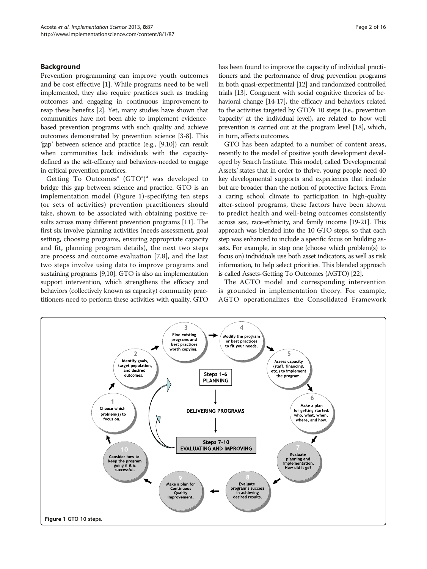## **Background**

Prevention programming can improve youth outcomes and be cost effective [\[1\]](#page-13-0). While programs need to be well implemented, they also require practices such as tracking outcomes and engaging in continuous improvement-to reap these benefits [\[2](#page-13-0)]. Yet, many studies have shown that communities have not been able to implement evidencebased prevention programs with such quality and achieve outcomes demonstrated by prevention science [\[3-8\]](#page-14-0). This 'gap' between science and practice (e.g., [[9,10\]](#page-14-0)) can result when communities lack individuals with the capacitydefined as the self-efficacy and behaviors-needed to engage in critical prevention practices.

Getting To Outcomes<sup>®</sup> (GTO<sup>®</sup>)<sup>a</sup> was developed to bridge this gap between science and practice. GTO is an implementation model (Figure 1)-specifying ten steps (or sets of activities) prevention practitioners should take, shown to be associated with obtaining positive results across many different prevention programs [[11\]](#page-14-0). The first six involve planning activities (needs assessment, goal setting, choosing programs, ensuring appropriate capacity and fit, planning program details), the next two steps are process and outcome evaluation [\[7](#page-14-0),[8\]](#page-14-0), and the last two steps involve using data to improve programs and sustaining programs [[9,10\]](#page-14-0). GTO is also an implementation support intervention, which strengthens the efficacy and behaviors (collectively known as capacity) community practitioners need to perform these activities with quality. GTO has been found to improve the capacity of individual practitioners and the performance of drug prevention programs in both quasi-experimental [[12](#page-14-0)] and randomized controlled trials [\[13\]](#page-14-0). Congruent with social cognitive theories of behavioral change [[14-17\]](#page-14-0), the efficacy and behaviors related to the activities targeted by GTO's 10 steps (i.e., prevention 'capacity' at the individual level), are related to how well prevention is carried out at the program level [\[18](#page-14-0)], which, in turn, affects outcomes.

GTO has been adapted to a number of content areas, recently to the model of positive youth development developed by Search Institute. This model, called 'Developmental Assets', states that in order to thrive, young people need 40 key developmental supports and experiences that include but are broader than the notion of protective factors. From a caring school climate to participation in high-quality after-school programs, these factors have been shown to predict health and well-being outcomes consistently across sex, race-ethnicity, and family income [\[19-21](#page-14-0)]. This approach was blended into the 10 GTO steps, so that each step was enhanced to include a specific focus on building assets. For example, in step one (choose which problem(s) to focus on) individuals use both asset indicators, as well as risk information, to help select priorities. This blended approach is called Assets-Getting To Outcomes (AGTO) [[22\]](#page-14-0).

The AGTO model and corresponding intervention is grounded in implementation theory. For example, AGTO operationalizes the Consolidated Framework

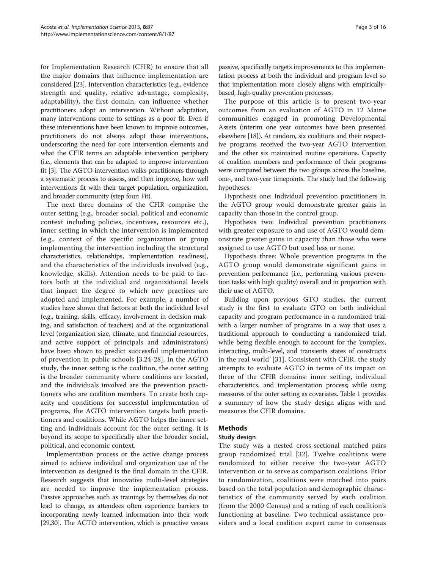for Implementation Research (CFIR) to ensure that all the major domains that influence implementation are considered [[23](#page-14-0)]. Intervention characteristics (e.g., evidence strength and quality, relative advantage, complexity, adaptability), the first domain, can influence whether practitioners adopt an intervention. Without adaptation, many interventions come to settings as a poor fit. Even if these interventions have been known to improve outcomes, practitioners do not always adopt these interventions, underscoring the need for core intervention elements and what the CFIR terms an adaptable intervention periphery (i.e., elements that can be adapted to improve intervention fit [[3](#page-14-0)]. The AGTO intervention walks practitioners through a systematic process to assess, and then improve, how well interventions fit with their target population, organization, and broader community (step four: Fit).

The next three domains of the CFIR comprise the outer setting (e.g., broader social, political and economic context including policies, incentives, resources etc.), inner setting in which the intervention is implemented (e.g., context of the specific organization or group implementing the intervention including the structural characteristics, relationships, implementation readiness), and the characteristics of the individuals involved (e.g., knowledge, skills). Attention needs to be paid to factors both at the individual and organizational levels that impact the degree to which new practices are adopted and implemented. For example, a number of studies have shown that factors at both the individual level (e.g., training, skills, efficacy, involvement in decision making, and satisfaction of teachers) and at the organizational level (organization size, climate, and financial resources, and active support of principals and administrators) have been shown to predict successful implementation of prevention in public schools [[3,24-28\]](#page-14-0). In the AGTO study, the inner setting is the coalition, the outer setting is the broader community where coalitions are located, and the individuals involved are the prevention practitioners who are coalition members. To create both capacity and conditions for successful implementation of programs, the AGTO intervention targets both practitioners and coalitions. While AGTO helps the inner setting and individuals account for the outer setting, it is beyond its scope to specifically alter the broader social, political, and economic context.

Implementation process or the active change process aimed to achieve individual and organization use of the intervention as designed is the final domain in the CFIR. Research suggests that innovative multi-level strategies are needed to improve the implementation process. Passive approaches such as trainings by themselves do not lead to change, as attendees often experience barriers to incorporating newly learned information into their work [[29,30\]](#page-14-0). The AGTO intervention, which is proactive versus passive, specifically targets improvements to this implementation process at both the individual and program level so that implementation more closely aligns with empiricallybased, high-quality prevention processes.

The purpose of this article is to present two-year outcomes from an evaluation of AGTO in 12 Maine communities engaged in promoting Developmental Assets (interim one year outcomes have been presented elsewhere [\[18\]](#page-14-0)). At random, six coalitions and their respective programs received the two-year AGTO intervention and the other six maintained routine operations. Capacity of coalition members and performance of their programs were compared between the two groups across the baseline, one-, and two-year timepoints. The study had the following hypotheses:

Hypothesis one: Individual prevention practitioners in the AGTO group would demonstrate greater gains in capacity than those in the control group.

Hypothesis two: Individual prevention practitioners with greater exposure to and use of AGTO would demonstrate greater gains in capacity than those who were assigned to use AGTO but used less or none.

Hypothesis three: Whole prevention programs in the AGTO group would demonstrate significant gains in prevention performance (i.e., performing various prevention tasks with high quality) overall and in proportion with their use of AGTO.

Building upon previous GTO studies, the current study is the first to evaluate GTO on both individual capacity and program performance in a randomized trial with a larger number of programs in a way that uses a traditional approach to conducting a randomized trial, while being flexible enough to account for the 'complex, interacting, multi-level, and transients states of constructs in the real world' [\[31\]](#page-14-0). Consistent with CFIR, the study attempts to evaluate AGTO in terms of its impact on three of the CFIR domains: inner setting, individual characteristics, and implementation process; while using measures of the outer setting as covariates. Table [1](#page-3-0) provides a summary of how the study design aligns with and measures the CFIR domains.

## Methods

## Study design

The study was a nested cross-sectional matched pairs group randomized trial [[32](#page-14-0)]. Twelve coalitions were randomized to either receive the two-year AGTO intervention or to serve as comparison coalitions. Prior to randomization, coalitions were matched into pairs based on the total population and demographic characteristics of the community served by each coalition (from the 2000 Census) and a rating of each coalition's functioning at baseline. Two technical assistance providers and a local coalition expert came to consensus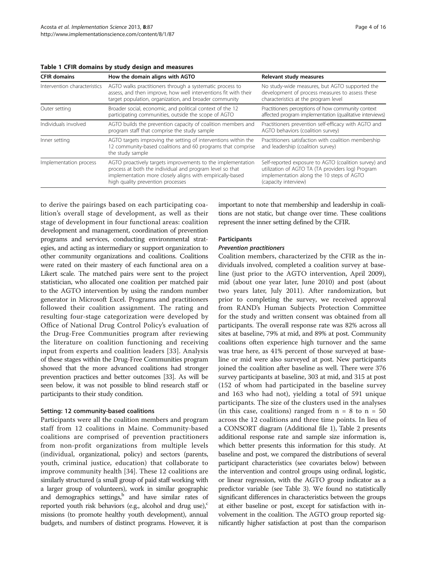| <b>CFIR domains</b>          | How the domain aligns with AGTO                                                                                                                                                                                           | Relevant study measures                                                                                                                                                         |  |  |  |
|------------------------------|---------------------------------------------------------------------------------------------------------------------------------------------------------------------------------------------------------------------------|---------------------------------------------------------------------------------------------------------------------------------------------------------------------------------|--|--|--|
| Intervention characteristics | AGTO walks practitioners through a systematic process to<br>assess, and then improve, how well interventions fit with their<br>target population, organization, and broader community                                     | No study-wide measures, but AGTO supported the<br>development of process measures to assess these<br>characteristics at the program level                                       |  |  |  |
| Outer setting                | Broader social, economic, and political context of the 12<br>participating communities, outside the scope of AGTO                                                                                                         | Practitioners perceptions of how community context<br>affected program implementation (qualitative interviews)                                                                  |  |  |  |
| Individuals involved         | AGTO builds the prevention capacity of coalition members and<br>program staff that comprise the study sample                                                                                                              | Practitioners prevention self-efficacy with AGTO and<br>AGTO behaviors (coalition survey)                                                                                       |  |  |  |
| Inner setting                | AGTO targets improving the setting of interventions within the<br>12 community-based coalitions and 60 programs that comprise<br>the study sample                                                                         | Practitioners satisfaction with coalition membership<br>and leadership (coalition survey)                                                                                       |  |  |  |
| Implementation process       | AGTO proactively targets improvements to the implementation<br>process at both the individual and program level so that<br>implementation more closely aligns with empirically-based<br>high quality prevention processes | Self-reported exposure to AGTO (coalition survey) and<br>utilization of AGTO TA (TA providers log) Program<br>implementation along the 10 steps of AGTO<br>(capacity interview) |  |  |  |

<span id="page-3-0"></span>Table 1 CFIR domains by study design and measures

to derive the pairings based on each participating coalition's overall stage of development, as well as their stage of development in four functional areas: coalition development and management, coordination of prevention programs and services, conducting environmental strategies, and acting as intermediary or support organization to other community organizations and coalitions. Coalitions were rated on their mastery of each functional area on a Likert scale. The matched pairs were sent to the project statistician, who allocated one coalition per matched pair to the AGTO intervention by using the random number generator in Microsoft Excel. Programs and practitioners followed their coalition assignment. The rating and resulting four-stage categorization were developed by Office of National Drug Control Policy's evaluation of the Drug-Free Communities program after reviewing the literature on coalition functioning and receiving input from experts and coalition leaders [[33](#page-14-0)]. Analysis of these stages within the Drug-Free Communities program showed that the more advanced coalitions had stronger prevention practices and better outcomes [[33](#page-14-0)]. As will be seen below, it was not possible to blind research staff or participants to their study condition.

#### Setting: 12 community-based coalitions

Participants were all the coalition members and program staff from 12 coalitions in Maine. Community-based coalitions are comprised of prevention practitioners from non-profit organizations from multiple levels (individual, organizational, policy) and sectors (parents, youth, criminal justice, education) that collaborate to improve community health [\[34](#page-14-0)]. These 12 coalitions are similarly structured (a small group of paid staff working with a larger group of volunteers), work in similar geographic and demographics settings, $b$  and have similar rates of reported youth risk behaviors (e.g., alcohol and drug use), $\epsilon$ missions (to promote healthy youth development), annual budgets, and numbers of distinct programs. However, it is important to note that membership and leadership in coalitions are not static, but change over time. These coalitions represent the inner setting defined by the CFIR.

## **Participants**

#### Prevention practitioners

Coalition members, characterized by the CFIR as the individuals involved, completed a coalition survey at baseline (just prior to the AGTO intervention, April 2009), mid (about one year later, June 2010) and post (about two years later, July 2011). After randomization, but prior to completing the survey, we received approval from RAND's Human Subjects Protection Committee for the study and written consent was obtained from all participants. The overall response rate was 82% across all sites at baseline, 79% at mid, and 89% at post. Community coalitions often experience high turnover and the same was true here, as 41% percent of those surveyed at baseline or mid were also surveyed at post. New participants joined the coalition after baseline as well. There were 376 survey participants at baseline, 303 at mid, and 315 at post (152 of whom had participated in the baseline survey and 163 who had not), yielding a total of 591 unique participants. The size of the clusters used in the analyses (in this case, coalitions) ranged from  $n = 8$  to  $n = 50$ across the 12 coalitions and three time points. In lieu of a CONSORT diagram (Additional file [1\)](#page-13-0), Table [2](#page-4-0) presents additional response rate and sample size information is, which better presents this information for this study. At baseline and post, we compared the distributions of several participant characteristics (see covariates below) between the intervention and control groups using ordinal, logistic, or linear regression, with the AGTO group indicator as a predictor variable (see Table [3\)](#page-5-0). We found no statistically significant differences in characteristics between the groups at either baseline or post, except for satisfaction with involvement in the coalition. The AGTO group reported significantly higher satisfaction at post than the comparison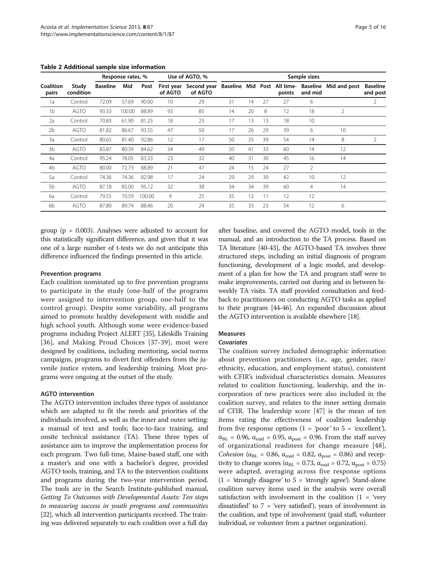|                    |                    |                 |        | Response rates, % |         | Use of AGTO, %                                                         |    | Sample sizes |    |        |         |              |                             |  |
|--------------------|--------------------|-----------------|--------|-------------------|---------|------------------------------------------------------------------------|----|--------------|----|--------|---------|--------------|-----------------------------|--|
| Coalition<br>pairs | Study<br>condition | <b>Baseline</b> | Mid    | Post              | of AGTO | First year Second year Baseline Mid Post All time- Baseline<br>of AGTO |    |              |    | points | and mid | Mid and post | <b>Baseline</b><br>and post |  |
| 1a                 | Control            | 72.09           | 57.69  | 90.00             | 10      | 29                                                                     | 31 | 14           | 27 | 27     | 6       |              | 2                           |  |
| 1 <sub>b</sub>     | <b>AGTO</b>        | 93.33           | 100.00 | 88.89             | 93      | 85                                                                     | 14 | 20           | 8  | 12     | 18      | 2            |                             |  |
| 2a                 | Control            | 70.83           | 61.90  | 81.25             | 18      | 23                                                                     | 17 | 13           | 13 | 18     | 10      |              |                             |  |
| 2 <sub>b</sub>     | <b>AGTO</b>        | 81.82           | 86.67  | 93.55             | 47      | 50                                                                     | 17 | 26           | 29 | 39     | 6       | 10           |                             |  |
| 3a                 | Control            | 80.65           | 81.40  | 92.86             | 12      | 17                                                                     | 50 | 35           | 39 | 54     | 14      | 8            | 2                           |  |
| 3 <sub>b</sub>     | <b>AGTO</b>        | 83.87           | 80.39  | 84.62             | 34      | 49                                                                     | 50 | 41           | 33 | 60     | 14      | 12           |                             |  |
| 4a                 | Control            | 95.24           | 78.05  | 83.33             | 23      | 32                                                                     | 40 | 31           | 30 | 45     | 16      | 14           |                             |  |
| 4 <sub>b</sub>     | <b>AGTO</b>        | 80.00           | 72.73  | 88.89             | 21      | 47                                                                     | 24 | 15           | 24 | 27     | 2       |              |                             |  |
| 5a                 | Control            | 74.36           | 74.36  | 82.98             | 17      | 24                                                                     | 29 | 29           | 39 | 42     | 10      | 12           |                             |  |
| 5b                 | <b>AGTO</b>        | 87.18           | 85.00  | 95.12             | 32      | 38                                                                     | 34 | 34           | 39 | 60     | 4       | 14           |                             |  |
| 6a                 | Control            | 79.55           | 70.59  | 100.00            | 9       | 25                                                                     | 35 | 12           | 11 | 12     | 12      |              |                             |  |
| 6b                 | AGTO               | 87.80           | 89.74  | 88.46             | 20      | 24                                                                     | 35 | 33           | 23 | 54     | 12      | 6            |                             |  |

<span id="page-4-0"></span>Table 2 Additional sample size information

group ( $p = 0.003$ ). Analyses were adjusted to account for this statistically significant difference, and given that it was one of a large number of t-tests we do not anticipate this difference influenced the findings presented in this article.

#### Prevention programs

Each coalition nominated up to five prevention programs to participate in the study (one-half of the programs were assigned to intervention group, one-half to the control group). Despite some variability, all programs aimed to promote healthy development with middle and high school youth. Although some were evidence-based programs including Project ALERT [[35](#page-14-0)], Lifeskills Training [[36](#page-14-0)], and Making Proud Choices [\[37-39](#page-14-0)], most were designed by coalitions, including mentoring, social norms campaigns, programs to divert first offenders from the juvenile justice system, and leadership training. Most programs were ongoing at the outset of the study.

#### AGTO intervention

The AGTO intervention includes three types of assistance which are adapted to fit the needs and priorities of the individuals involved, as well as the inner and outer setting: a manual of text and tools; face-to-face training, and onsite technical assistance (TA). These three types of assistance aim to improve the implementation process for each program. Two full-time, Maine-based staff, one with a master's and one with a bachelor's degree, provided AGTO tools, training, and TA to the intervention coalitions and programs during the two-year intervention period. The tools are in the Search Institute-published manual, Getting To Outcomes with Developmental Assets: Ten steps to measuring success in youth programs and communities [[22](#page-14-0)], which all intervention participants received. The training was delivered separately to each coalition over a full day

after baseline, and covered the AGTO model, tools in the manual, and an introduction to the TA process. Based on TA literature [\[40-43](#page-14-0)], the AGTO-based TA involves three structured steps, including an initial diagnosis of program functioning, development of a logic model, and development of a plan for how the TA and program staff were to make improvements, carried out during and in between biweekly TA visits. TA staff provided consultation and feedback to practitioners on conducting AGTO tasks as applied to their program [\[44-46](#page-14-0)]. An expanded discussion about the AGTO intervention is available elsewhere [\[18\]](#page-14-0).

## Measures

## **Covariates**

The coalition survey included demographic information about prevention practitioners (i.e., age, gender, race/ ethnicity, education, and employment status), consistent with CFIR's individual characteristics domain. Measures related to coalition functioning, leadership, and the incorporation of new practices were also included in the coalition survey, and relates to the inner setting domain of CFIR. The leadership score [[47](#page-14-0)] is the mean of ten items rating the effectiveness of coalition leadership from five response options  $(1 - 'poor'$  to  $5 - 'excellent')$ ,  $\alpha_{BL}$  = 0.96,  $\alpha_{mid}$  = 0.95,  $\alpha_{post}$  = 0.96. From the staff survey of organizational readiness for change measure [[48](#page-14-0)], *Cohesion* ( $\alpha_{BL}$  = 0.86,  $\alpha_{mid}$  = 0.82,  $\alpha_{post}$  = 0.86) and receptivity to change scores ( $\alpha_{BL} = 0.73$ ,  $\alpha_{mid} = 0.72$ ,  $\alpha_{post} = 0.75$ ) were adapted, averaging across five response options  $(1 = 'strongly disagree' to 5 = 'strongly agree').$  Stand-alone coalition survey items used in the analysis were overall satisfaction with involvement in the coalition  $(1 - \text{`very}$ dissatisfied' to  $7 = 'very$  satisfied'), years of involvement in the coalition, and type of involvement (paid staff, volunteer individual, or volunteer from a partner organization).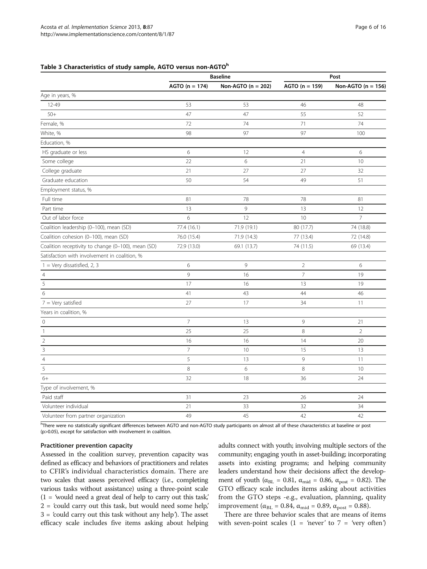#### <span id="page-5-0"></span>Table 3 Characteristics of study sample, AGTO versus non-AGTOh

|                                                    |                  | <b>Baseline</b>        | Post             |                        |  |  |
|----------------------------------------------------|------------------|------------------------|------------------|------------------------|--|--|
|                                                    | $AGTO (n = 174)$ | Non-AGTO ( $n = 202$ ) | $AGTO (n = 159)$ | Non-AGTO ( $n = 156$ ) |  |  |
| Age in years, %                                    |                  |                        |                  |                        |  |  |
| 12-49                                              | 53               | 53                     | 46               | 48                     |  |  |
| $50+$                                              | 47               | 47                     | 55               | 52                     |  |  |
| Female, %                                          | 72               | 74                     | 71               | 74                     |  |  |
| White, %                                           | 98               | 97                     | 97               | 100                    |  |  |
| Education, %                                       |                  |                        |                  |                        |  |  |
| HS graduate or less                                | 6                | 12                     | $\overline{4}$   | 6                      |  |  |
| Some college                                       | 22               | 6                      | 21               | 10                     |  |  |
| College graduate                                   | 21               | 27                     | 27               | 32                     |  |  |
| Graduate education                                 | 50               | 54                     | 49               | 51                     |  |  |
| Employment status, %                               |                  |                        |                  |                        |  |  |
| Full time                                          | 81               | 78                     | 78               | 81                     |  |  |
| Part time                                          | 13               | 9                      | 13               | 12                     |  |  |
| Out of labor force                                 | 6                | 12                     | 10               | $\overline{7}$         |  |  |
| Coalition leadership (0-100), mean (SD)            | 77.4 (16.1)      | 71.9 (19.1)            | 80 (17.7)        | 74 (18.8)              |  |  |
| Coalition cohesion (0-100), mean (SD)              | 76.0 (15.4)      | 71.9 (14.3)            | 77 (13.4)        | 72 (14.8)              |  |  |
| Coalition receptivity to change (0-100), mean (SD) | 72.9 (13.0)      | 69.1 (13.7)            | 74 (11.5)        | 69 (13.4)              |  |  |
| Satisfaction with involvement in coalition, %      |                  |                        |                  |                        |  |  |
| $1 = Very$ dissatisfied, 2, 3                      | 6                | 9                      | $\overline{2}$   | 6                      |  |  |
| $\overline{4}$                                     | 9                | 16                     | $\overline{7}$   | 19                     |  |  |
| 5                                                  | 17               | 16                     | 13               | 19                     |  |  |
| 6                                                  | 41               | 43                     | 44               | 46                     |  |  |
| $7 = \text{Very satisfied}$                        | 27               | 17                     | 34               | 11                     |  |  |
| Years in coalition, %                              |                  |                        |                  |                        |  |  |
| $\circ$                                            | $\overline{7}$   | 13                     | $\mathcal{G}$    | 21                     |  |  |
| $\overline{1}$                                     | 25               | 25                     | $\,8\,$          | $\overline{2}$         |  |  |
| $\overline{2}$                                     | 16               | 16                     | 14               | 20                     |  |  |
| 3                                                  | $\overline{7}$   | 10                     | 15               | 13                     |  |  |
| $\overline{4}$                                     | 5                | 13                     | 9                | 11                     |  |  |
| 5                                                  | $\,8\,$          | 6                      | 8                | 10                     |  |  |
| $6+$                                               | 32               | 18                     | 36               | 24                     |  |  |
| Type of involvement, %                             |                  |                        |                  |                        |  |  |
| Paid staff                                         | 31               | 23                     | 26               | 24                     |  |  |
| Volunteer individual                               | 21               | 33                     | 32               | 34                     |  |  |
| Volunteer from partner organization                | 49               | 45                     | 42               | 42                     |  |  |

<sup>h</sup>There were no statistically significant differences between AGTO and non-AGTO study participants on almost all of these characteristics at baseline or post (p>0.05), except for satisfaction with involvement in coalition.

#### Practitioner prevention capacity

Assessed in the coalition survey, prevention capacity was defined as efficacy and behaviors of practitioners and relates to CFIR's individual characteristics domain. There are two scales that assess perceived efficacy (i.e., completing various tasks without assistance) using a three-point scale  $(1 =$  'would need a great deal of help to carry out this task',  $2 =$  'could carry out this task, but would need some help,' 3 = 'could carry out this task without any help'). The asset efficacy scale includes five items asking about helping adults connect with youth; involving multiple sectors of the community; engaging youth in asset-building; incorporating assets into existing programs; and helping community leaders understand how their decisions affect the development of youth ( $\alpha_{BL} = 0.81$ ,  $\alpha_{mid} = 0.86$ ,  $\alpha_{post} = 0.82$ ). The GTO efficacy scale includes items asking about activities from the GTO steps -e.g., evaluation, planning, quality improvement ( $\alpha_{BL}$  = 0.84,  $\alpha_{mid}$  = 0.89,  $\alpha_{post}$  = 0.88).

There are three behavior scales that are means of items with seven-point scales (1 = 'never' to  $7$  = 'very often')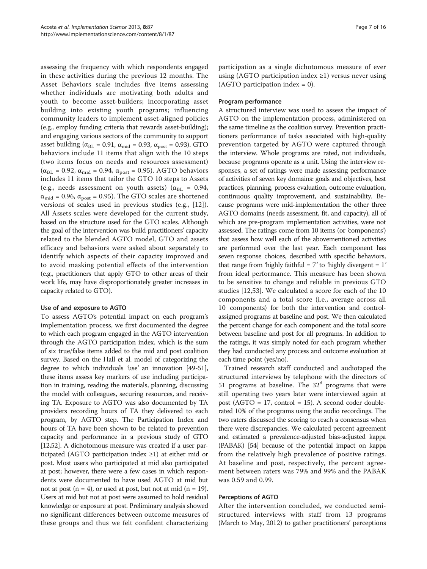assessing the frequency with which respondents engaged in these activities during the previous 12 months. The Asset Behaviors scale includes five items assessing whether individuals are motivating both adults and youth to become asset-builders; incorporating asset building into existing youth programs; influencing community leaders to implement asset-aligned policies (e.g., employ funding criteria that rewards asset-building); and engaging various sectors of the community to support asset building ( $\alpha_{BL} = 0.91$ ,  $\alpha_{mid} = 0.93$ ,  $\alpha_{post} = 0.93$ ). GTO behaviors include 11 items that align with the 10 steps (two items focus on needs and resources assessment)  $(\alpha_{BL} = 0.92, \alpha_{mid} = 0.94, \alpha_{post} = 0.95)$ . AGTO behaviors includes 11 items that tailor the GTO 10 steps to Assets (e.g., needs assessment on youth assets) ( $\alpha_{BL}$  = 0.94,  $\alpha_{\text{mid}}$  = 0.96,  $\alpha_{\text{post}}$  = 0.95). The GTO scales are shortened versions of scales used in previous studies (e.g., [[12\]](#page-14-0)). All Assets scales were developed for the current study, based on the structure used for the GTO scales. Although the goal of the intervention was build practitioners' capacity related to the blended AGTO model, GTO and assets efficacy and behaviors were asked about separately to identify which aspects of their capacity improved and to avoid masking potential effects of the intervention (e.g., practitioners that apply GTO to other areas of their work life, may have disproportionately greater increases in capacity related to GTO).

#### Use of and exposure to AGTO

To assess AGTO's potential impact on each program's implementation process, we first documented the degree to which each program engaged in the AGTO intervention through the AGTO participation index, which is the sum of six true/false items added to the mid and post coalition survey. Based on the Hall et al. model of categorizing the degree to which individuals 'use' an innovation [\[49](#page-14-0)[-51](#page-15-0)], these items assess key markers of use including participation in training, reading the materials, planning, discussing the model with colleagues, securing resources, and receiving TA. Exposure to AGTO was also documented by TA providers recording hours of TA they delivered to each program, by AGTO step. The Participation Index and hours of TA have been shown to be related to prevention capacity and performance in a previous study of GTO [[12](#page-14-0)[,52\]](#page-15-0). A dichotomous measure was created if a user participated (AGTO participation index ≥1) at either mid or post. Most users who participated at mid also participated at post; however, there were a few cases in which respondents were documented to have used AGTO at mid but not at post  $(n = 4)$ , or used at post, but not at mid  $(n = 19)$ . Users at mid but not at post were assumed to hold residual knowledge or exposure at post. Preliminary analysis showed no significant differences between outcome measures of these groups and thus we felt confident characterizing participation as a single dichotomous measure of ever using (AGTO participation index  $\geq$ 1) versus never using (AGTO participation index = 0).

### Program performance

A structured interview was used to assess the impact of AGTO on the implementation process, administered on the same timeline as the coalition survey. Prevention practitioners performance of tasks associated with high-quality prevention targeted by AGTO were captured through the interview. Whole programs are rated, not individuals, because programs operate as a unit. Using the interview responses, a set of ratings were made assessing performance of activities of seven key domains: goals and objectives, best practices, planning, process evaluation, outcome evaluation, continuous quality improvement, and sustainability. Because programs were mid-implementation the other three AGTO domains (needs assessment, fit, and capacity), all of which are pre-program implementation activities, were not assessed. The ratings come from 10 items (or 'components') that assess how well each of the abovementioned activities are performed over the last year. Each component has seven response choices, described with specific behaviors, that range from 'highly faithful =  $7'$  to 'highly divergent =  $1'$ from ideal performance. This measure has been shown to be sensitive to change and reliable in previous GTO studies [[12,](#page-14-0)[53](#page-15-0)]. We calculated a score for each of the 10 components and a total score (i.e., average across all 10 components) for both the intervention and controlassigned programs at baseline and post. We then calculated the percent change for each component and the total score between baseline and post for all programs. In addition to the ratings, it was simply noted for each program whether they had conducted any process and outcome evaluation at each time point (yes/no).

Trained research staff conducted and audiotaped the structured interviews by telephone with the directors of 51 programs at baseline. The  $32<sup>d</sup>$  programs that were still operating two years later were interviewed again at post ( $AGTO = 17$ , control = 15). A second coder doublerated 10% of the programs using the audio recordings. The two raters discussed the scoring to reach a consensus when there were discrepancies. We calculated percent agreement and estimated a prevalence-adjusted bias-adjusted kappa (PABAK) [[54](#page-15-0)] because of the potential impact on kappa from the relatively high prevalence of positive ratings. At baseline and post, respectively, the percent agreement between raters was 79% and 99% and the PABAK was 0.59 and 0.99.

## Perceptions of AGTO

After the intervention concluded, we conducted semistructured interviews with staff from 13 programs (March to May, 2012) to gather practitioners' perceptions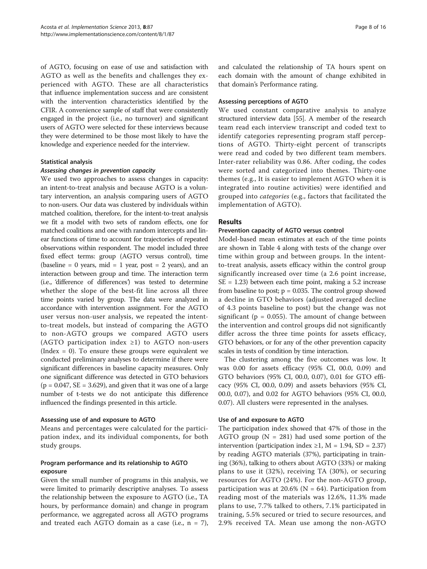of AGTO, focusing on ease of use and satisfaction with AGTO as well as the benefits and challenges they experienced with AGTO. These are all characteristics that influence implementation success and are consistent with the intervention characteristics identified by the CFIR. A convenience sample of staff that were consistently engaged in the project (i.e., no turnover) and significant users of AGTO were selected for these interviews because they were determined to be those most likely to have the knowledge and experience needed for the interview.

#### Statistical analysis

#### Assessing changes in prevention capacity

We used two approaches to assess changes in capacity: an intent-to-treat analysis and because AGTO is a voluntary intervention, an analysis comparing users of AGTO to non-users. Our data was clustered by individuals within matched coalition, therefore, for the intent-to-treat analysis we fit a model with two sets of random effects, one for matched coalitions and one with random intercepts and linear functions of time to account for trajectories of repeated observations within respondent. The model included three fixed effect terms: group (AGTO versus control), time (baseline  $= 0$  years, mid  $= 1$  year, post  $= 2$  years), and an interaction between group and time. The interaction term (i.e., 'difference of differences') was tested to determine whether the slope of the best-fit line across all three time points varied by group. The data were analyzed in accordance with intervention assignment. For the AGTO user versus non-user analysis, we repeated the intentto-treat models, but instead of comparing the AGTO to non-AGTO groups we compared AGTO users (AGTO participation index ≥1) to AGTO non-users (Index = 0). To ensure these groups were equivalent we conducted preliminary analyses to determine if there were significant differences in baseline capacity measures. Only one significant difference was detected in GTO behaviors  $(p = 0.047, SE = 3.629)$ , and given that it was one of a large number of t-tests we do not anticipate this difference influenced the findings presented in this article.

## Assessing use of and exposure to AGTO

Means and percentages were calculated for the participation index, and its individual components, for both study groups.

## Program performance and its relationship to AGTO exposure

Given the small number of programs in this analysis, we were limited to primarily descriptive analyses. To assess the relationship between the exposure to AGTO (i.e., TA hours, by performance domain) and change in program performance, we aggregated across all AGTO programs and treated each AGTO domain as a case (i.e.,  $n = 7$ ),

and calculated the relationship of TA hours spent on each domain with the amount of change exhibited in that domain's Performance rating.

### Assessing perceptions of AGTO

We used constant comparative analysis to analyze structured interview data [\[55\]](#page-15-0). A member of the research team read each interview transcript and coded text to identify categories representing program staff perceptions of AGTO. Thirty-eight percent of transcripts were read and coded by two different team members. Inter-rater reliability was 0.86. After coding, the codes were sorted and categorized into themes. Thirty-one themes (e.g., It is easier to implement AGTO when it is integrated into routine activities) were identified and grouped into categories (e.g., factors that facilitated the implementation of AGTO).

## Results

## Prevention capacity of AGTO versus control

Model-based mean estimates at each of the time points are shown in Table [4](#page-8-0) along with tests of the change over time within group and between groups. In the intentto-treat analysis, assets efficacy within the control group significantly increased over time (a 2.6 point increase, SE = 1.23) between each time point, making a 5.2 increase from baseline to post;  $p = 0.035$ . The control group showed a decline in GTO behaviors (adjusted averaged decline of 4.3 points baseline to post) but the change was not significant ( $p = 0.055$ ). The amount of change between the intervention and control groups did not significantly differ across the three time points for assets efficacy, GTO behaviors, or for any of the other prevention capacity scales in tests of condition by time interaction.

The clustering among the five outcomes was low. It was 0.00 for assets efficacy (95% CI, 00.0, 0.09) and GTO behaviors (95% CI, 00.0, 0.07), 0.01 for GTO efficacy (95% CI, 00.0, 0.09) and assets behaviors (95% CI, 00.0, 0.07), and 0.02 for AGTO behaviors (95% CI, 00.0, 0.07). All clusters were represented in the analyses.

## Use of and exposure to AGTO

The participation index showed that 47% of those in the AGTO group ( $N = 281$ ) had used some portion of the intervention (participation index ≥1, M = 1.94, SD = 2.37) by reading AGTO materials (37%), participating in training (36%), talking to others about AGTO (33%) or making plans to use it (32%), receiving TA (30%), or securing resources for AGTO (24%). For the non-AGTO group, participation was at 20.6% ( $N = 64$ ). Participation from reading most of the materials was 12.6%, 11.3% made plans to use, 7.7% talked to others, 7.1% participated in training, 5.5% secured or tried to secure resources, and 2.9% received TA. Mean use among the non-AGTO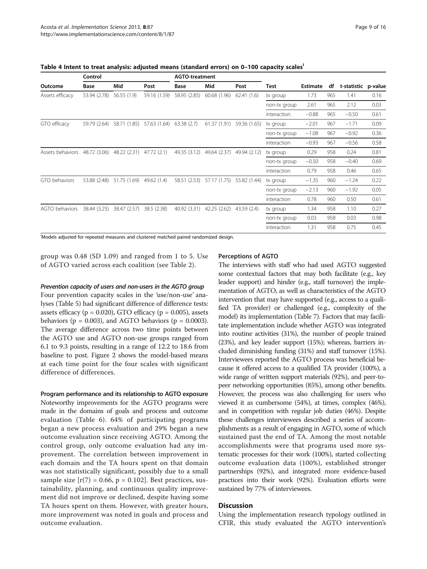<span id="page-8-0"></span>Table 4 Intent to treat analysis: adjusted means (standard errors) on 0–100 capacity scalesi

|                  | Control      |              |              | <b>AGTO-treatment</b> |              |              |              |                 |     |                     |      |
|------------------|--------------|--------------|--------------|-----------------------|--------------|--------------|--------------|-----------------|-----|---------------------|------|
| Outcome          | Base         | Mid          | Post         | Base                  | Mid          | Post         | Test         | <b>Estimate</b> | df  | t-statistic p-value |      |
| Assets efficacy  | 53.94 (2.78) | 56.55 (1.9)  | 59.16 (1.59) | 58.95 (2.85)          | 60.68 (1.96) | 62.41(1.6)   | tx group     | 1.73            | 965 | 1.41                | 0.16 |
|                  |              |              |              |                       |              |              | non-tx group | 2.61            | 965 | 2.12                | 0.03 |
|                  |              |              |              |                       |              |              | interaction  | $-0.88$         | 965 | $-0.50$             | 0.61 |
| GTO efficacy     | 59.79 (2.64) | 58.71 (1.85) | 57.63 (1.64) | 63.38(2.7)            | 61.37(1.91)  | 59.36 (1.65) | tx group     | $-2.01$         | 967 | $-1.71$             | 0.09 |
|                  |              |              |              |                       |              |              | non-tx group | $-1.08$         | 967 | $-0.92$             | 0.36 |
|                  |              |              |              |                       |              |              | interaction  | $-0.93$         | 967 | $-0.56$             | 0.58 |
| Assets behaviors | 48.72 (3.06) | 48.22 (2.31) | 47.72 (2.1)  | 49.35 (3.12)          | 49.64 (2.37) | 49.94 (2.12) | tx group     | 0.29            | 958 | 0.24                | 0.81 |
|                  |              |              |              |                       |              |              | non-tx group | $-0.50$         | 958 | $-0.40$             | 0.69 |
|                  |              |              |              |                       |              |              | interaction  | 0.79            | 958 | 0.46                | 0.65 |
| GTO behaviors    | 53.88 (2.48) | 51.75 (1.69) | 49.62 (1.4)  | 58.51 (2.53)          | 57.17 (1.75) | 55.82 (1.44) | tx group     | $-1.35$         | 960 | $-1.24$             | 0.22 |
|                  |              |              |              |                       |              |              | non-tx group | $-2.13$         | 960 | $-1.92$             | 0.05 |
|                  |              |              |              |                       |              |              | interaction  | 0.78            | 960 | 0.50                | 0.61 |
| AGTO behaviors   | 38.44 (3.25) | 38.47 (2.57) | 38.5 (2.38)  | 40.92 (3.31)          | 42.25 (2.62) | 43.59 (2.4)  | tx group     | 1.34            | 958 | 1.10                | 0.27 |
|                  |              |              |              |                       |              |              | non-tx group | 0.03            | 958 | 0.03                | 0.98 |
|                  |              |              |              |                       |              |              | interaction  | 1.31            | 958 | 0.75                | 0.45 |

i Models adjusted for repeated measures and clustered matched paired randomized design.

group was 0.48 (SD 1.09) and ranged from 1 to 5. Use of AGTO varied across each coalition (see Table [2\)](#page-4-0).

#### Prevention capacity of users and non-users in the AGTO group

Four prevention capacity scales in the 'use/non-use' analyses (Table [5](#page-9-0)) had significant difference of difference tests: assets efficacy ( $p = 0.020$ ), GTO efficacy ( $p = 0.005$ ), assets behaviors ( $p = 0.003$ ), and AGTO behaviors ( $p = 0.0003$ ). The average difference across two time points between the AGTO use and AGTO non-use groups ranged from 6.1 to 9.3 points, resulting in a range of 12.2 to 18.6 from baseline to post. Figure [2](#page-10-0) shows the model-based means at each time point for the four scales with significant difference of differences.

## Program performance and its relationship to AGTO exposure

Noteworthy improvements for the AGTO programs were made in the domains of goals and process and outcome evaluation (Table [6](#page-10-0)). 64% of participating programs began a new process evaluation and 29% began a new outcome evaluation since receiving AGTO. Among the control group, only outcome evaluation had any improvement. The correlation between improvement in each domain and the TA hours spent on that domain was not statistically significant, possibly due to a small sample size  $[r(7) = 0.66, p = 0.102]$ . Best practices, sustainability, planning, and continuous quality improvement did not improve or declined, despite having some TA hours spent on them. However, with greater hours, more improvement was noted in goals and process and outcome evaluation.

#### Perceptions of AGTO

The interviews with staff who had used AGTO suggested some contextual factors that may both facilitate (e.g., key leader support) and hinder (e.g., staff turnover) the implementation of AGTO, as well as characteristics of the AGTO intervention that may have supported (e.g., access to a qualified TA provider) or challenged (e.g., complexity of the model) its implementation (Table [7\)](#page-11-0). Factors that may facilitate implementation include whether AGTO was integrated into routine activities (31%), the number of people trained (23%), and key leader support (15%); whereas, barriers included diminishing funding (31%) and staff turnover (15%). Interviewees reported the AGTO process was beneficial because it offered access to a qualified TA provider (100%), a wide range of written support materials (92%), and peer-topeer networking opportunities (85%), among other benefits. However, the process was also challenging for users who viewed it as cumbersome (54%), at times, complex (46%), and in competition with regular job duties (46%). Despite these challenges interviewees described a series of accomplishments as a result of engaging in AGTO, some of which sustained past the end of TA. Among the most notable accomplishments were that programs used more systematic processes for their work (100%), started collecting outcome evaluation data (100%), established stronger partnerships (92%), and integrated more evidence-based practices into their work (92%). Evaluation efforts were sustained by 77% of interviewees.

#### Discussion

Using the implementation research typology outlined in CFIR, this study evaluated the AGTO intervention's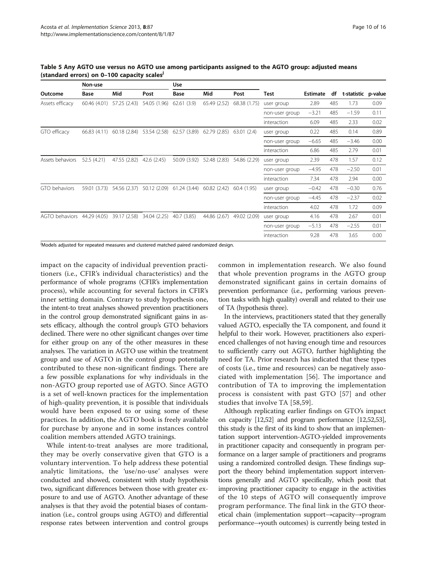|                  | Non-use      |              |              | <b>Use</b>   |              |              |                |          |     |                     |      |
|------------------|--------------|--------------|--------------|--------------|--------------|--------------|----------------|----------|-----|---------------------|------|
| Outcome          | Base         | Mid          | Post         | Base         | Mid          | Post         | Test           | Estimate | df  | t-statistic p-value |      |
| Assets efficacy  | 60.46 (4.01) | 57.25 (2.43) | 54.05 (1.96) | 62.61(3.9)   | 65.49 (2.52) | 68.38 (1.75) | user group     | 2.89     | 485 | 1.73                | 0.09 |
|                  |              |              |              |              |              |              | non-user group | $-3.21$  | 485 | $-1.59$             | 0.11 |
|                  |              |              |              |              |              |              | interaction    | 6.09     | 485 | 2.33                | 0.02 |
| GTO efficacy     | 66.83 (4.11) | 60.18(2.84)  | 53.54 (2.58) | 62.57 (3.89) | 62.79 (2.85) | 63.01(2.4)   | user group     | 0.22     | 485 | 0.14                | 0.89 |
|                  |              |              |              |              |              |              | non-user group | $-6.65$  | 485 | $-3.46$             | 0.00 |
|                  |              |              |              |              |              |              | interaction    | 6.86     | 485 | 2.79                | 0.01 |
| Assets behaviors | 52.5 (4.21)  | 47.55 (2.82) | 42.6 (2.45)  | 50.09 (3.92) | 52.48 (2.83) | 54.86 (2.29) | user group     | 2.39     | 478 | 1.57                | 0.12 |
|                  |              |              |              |              |              |              | non-user group | $-4.95$  | 478 | $-2.50$             | 0.01 |
|                  |              |              |              |              |              |              | interaction    | 7.34     | 478 | 2.94                | 0.00 |
| GTO behaviors    | 59.01 (3.73) | 54.56 (2.37) | 50.12 (2.09) | 61.24(3.44)  | 60.82(2.42)  | 60.4(1.95)   | user group     | $-0.42$  | 478 | $-0.30$             | 0.76 |
|                  |              |              |              |              |              |              | non-user group | $-4.45$  | 478 | $-2.37$             | 0.02 |
|                  |              |              |              |              |              |              | interaction    | 4.02     | 478 | 1.72                | 0.09 |
| AGTO behaviors   | 44.29 (4.05) | 39.17 (2.58) | 34.04 (2.25) | 40.7 (3.85)  | 44.86 (2.67) | 49.02 (2.09) | user group     | 4.16     | 478 | 2.67                | 0.01 |
|                  |              |              |              |              |              |              | non-user group | $-5.13$  | 478 | $-2.55$             | 0.01 |
|                  |              |              |              |              |              |              | interaction    | 9.28     | 478 | 3.65                | 0.00 |

<span id="page-9-0"></span>Table 5 Any AGTO use versus no AGTO use among participants assigned to the AGTO group: adjusted means (standard errors) on 0-100 capacity scales<sup>J</sup>

<sup>j</sup>Models adjusted for repeated measures and clustered matched paired randomized design.

impact on the capacity of individual prevention practitioners (i.e., CFIR's individual characteristics) and the performance of whole programs (CFIR's implementation process), while accounting for several factors in CFIR's inner setting domain. Contrary to study hypothesis one, the intent-to treat analyses showed prevention practitioners in the control group demonstrated significant gains in assets efficacy, although the control group's GTO behaviors declined. There were no other significant changes over time for either group on any of the other measures in these analyses. The variation in AGTO use within the treatment group and use of AGTO in the control group potentially contributed to these non-significant findings. There are a few possible explanations for why individuals in the non-AGTO group reported use of AGTO. Since AGTO is a set of well-known practices for the implementation of high-quality prevention, it is possible that individuals would have been exposed to or using some of these practices. In addition, the AGTO book is freely available for purchase by anyone and in some instances control coalition members attended AGTO trainings.

While intent-to-treat analyses are more traditional, they may be overly conservative given that GTO is a voluntary intervention. To help address these potential analytic limitations, the 'use/no-use' analyses were conducted and showed, consistent with study hypothesis two, significant differences between those with greater exposure to and use of AGTO. Another advantage of these analyses is that they avoid the potential biases of contamination (i.e., control groups using AGTO) and differential response rates between intervention and control groups common in implementation research. We also found that whole prevention programs in the AGTO group demonstrated significant gains in certain domains of prevention performance (i.e., performing various prevention tasks with high quality) overall and related to their use of TA (hypothesis three).

In the interviews, practitioners stated that they generally valued AGTO, especially the TA component, and found it helpful to their work. However, practitioners also experienced challenges of not having enough time and resources to sufficiently carry out AGTO, further highlighting the need for TA. Prior research has indicated that these types of costs (i.e., time and resources) can be negatively associated with implementation [\[56](#page-15-0)]. The importance and contribution of TA to improving the implementation process is consistent with past GTO [[57](#page-15-0)] and other studies that involve TA [\[58](#page-15-0),[59\]](#page-15-0).

Although replicating earlier findings on GTO's impact on capacity [\[12,](#page-14-0)[52](#page-15-0)] and program performance [\[12,](#page-14-0)[52,53](#page-15-0)], this study is the first of its kind to show that an implementation support intervention-AGTO-yielded improvements in practitioner capacity and consequently in program performance on a larger sample of practitioners and programs using a randomized controlled design. These findings support the theory behind implementation support interventions generally and AGTO specifically, which posit that improving practitioner capacity to engage in the activities of the 10 steps of AGTO will consequently improve program performance. The final link in the GTO theoretical chain (implementation support→capacity→program performance→youth outcomes) is currently being tested in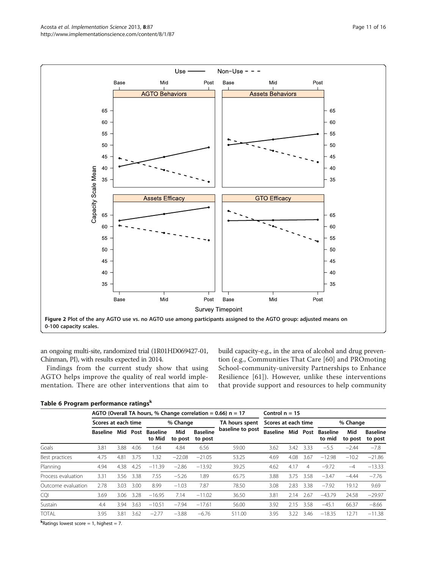<span id="page-10-0"></span>

an ongoing multi-site, randomized trial (1R01HD069427-01, Chinman, PI), with results expected in 2014.

Findings from the current study show that using AGTO helps improve the quality of real world implementation. There are other interventions that aim to build capacity-e.g., in the area of alcohol and drug prevention (e.g., Communities That Care [\[60](#page-15-0)] and PROmoting School-community-university Partnerships to Enhance Resilience [\[61\]](#page-15-0)). However, unlike these interventions that provide support and resources to help community

|  | Table 6 Program performance ratings <sup>k</sup> |  |
|--|--------------------------------------------------|--|
|  |                                                  |  |

|                    |                     |      |      | AGTO (Overall TA hours, % Change correlation = 0.66) $n = 17$ |                | Control $n = 15$           |                                    |                     |      |                |                           |                |                            |
|--------------------|---------------------|------|------|---------------------------------------------------------------|----------------|----------------------------|------------------------------------|---------------------|------|----------------|---------------------------|----------------|----------------------------|
|                    | Scores at each time |      |      |                                                               | % Change       |                            | TA hours spent<br>baseline to post | Scores at each time |      |                | % Change                  |                |                            |
|                    | <b>Baseline</b>     | Mid  | Post | <b>Baseline</b><br>to Mid                                     | Mid<br>to post | <b>Baseline</b><br>to post |                                    | <b>Baseline</b>     | Mid  | Post           | <b>Baseline</b><br>to mid | Mid<br>to post | <b>Baseline</b><br>to post |
| Goals              | 3.81                | 3.88 | 4.06 | 1.64                                                          | 4.84           | 6.56                       | 59.00                              | 3.62                | 3.42 | 3.33           | $-5.5$                    | $-2.44$        | $-7.8$                     |
| Best practices     | 4.75                | 4.81 | 3.75 | .32                                                           | $-22.08$       | $-21.05$                   | 53.25                              | 4.69                | 4.08 | 3.67           | $-12.98$                  | $-10.2$        | $-21.86$                   |
| Planning           | 4.94                | 4.38 | 4.25 | $-11.39$                                                      | $-2.86$        | $-13.92$                   | 39.25                              | 4.62                | 4.17 | $\overline{4}$ | $-9.72$                   | $-4$           | $-13.33$                   |
| Process evaluation | 3.31                | 3.56 | 3.38 | 7.55                                                          | $-5.26$        | 1.89                       | 65.75                              | 3.88                | 3.75 | 3.58           | $-3.47$                   | $-4.44$        | $-7.76$                    |
| Outcome evaluation | 2.78                | 3.03 | 3.00 | 8.99                                                          | $-1.03$        | 7.87                       | 78.50                              | 3.08                | 2.83 | 3.38           | $-7.92$                   | 19.12          | 9.69                       |
| <b>CQI</b>         | 3.69                | 3.06 | 3.28 | $-16.95$                                                      | 7.14           | $-11.02$                   | 36.50                              | 3.81                | 2.14 | 2.67           | $-43.79$                  | 24.58          | $-29.97$                   |
| Sustain            | 4.4                 | 3.94 | 3.63 | $-10.51$                                                      | $-7.94$        | $-17.61$                   | 56.00                              | 3.92                | 2.15 | 3.58           | $-45.1$                   | 66.37          | $-8.66$                    |
| <b>TOTAL</b>       | 3.95                | 3.81 | 3.62 | $-2.77$                                                       | $-3.88$        | $-6.76$                    | 511.00                             | 3.95                | 3.22 | 3.46           | $-18.35$                  | 12.71          | $-11.38$                   |

kRatings lowest score = 1, highest = 7.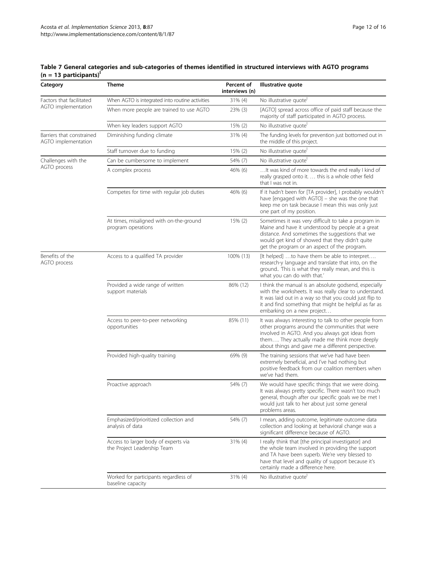### <span id="page-11-0"></span>Table 7 General categories and sub-categories of themes identified in structured interviews with AGTO programs (n = 13 participants)<sup>|</sup>

| Category                                         | <b>Theme</b>                                                        | Percent of<br>interviews (n) | Illustrative quote                                                                                                                                                                                                                                                 |
|--------------------------------------------------|---------------------------------------------------------------------|------------------------------|--------------------------------------------------------------------------------------------------------------------------------------------------------------------------------------------------------------------------------------------------------------------|
| Factors that facilitated                         | When AGTO is integrated into routine activities                     | 31% (4)                      | No illustrative quote'                                                                                                                                                                                                                                             |
| AGTO implementation                              | When more people are trained to use AGTO                            | 23% (3)                      | [AGTO] spread across office of paid staff because the<br>majority of staff participated in AGTO process.                                                                                                                                                           |
|                                                  | When key leaders support AGTO                                       | 15% (2)                      | No illustrative quote                                                                                                                                                                                                                                              |
| Barriers that constrained<br>AGTO implementation | Diminishing funding climate                                         | $31\%$ (4)                   | The funding levels for prevention just bottomed out in<br>the middle of this project.                                                                                                                                                                              |
|                                                  | Staff turnover due to funding                                       | 15% (2)                      | No illustrative quote                                                                                                                                                                                                                                              |
| Challenges with the                              | Can be cumbersome to implement                                      | 54% (7)                      | No illustrative quote                                                                                                                                                                                                                                              |
| AGTO process                                     | A complex process                                                   | 46% (6)                      | It was kind of more towards the end really I kind of<br>really grasped onto it.  this is a whole other field<br>that I was not in.                                                                                                                                 |
|                                                  | Competes for time with regular job duties                           | 46% (6)                      | If it hadn't been for [TA provider], I probably wouldn't<br>have [engaged with AGTO] - she was the one that<br>keep me on task because I mean this was only just<br>one part of my position.                                                                       |
|                                                  | At times, misaligned with on-the-ground<br>program operations       | $15\%$ (2)                   | Sometimes it was very difficult to take a program in<br>Maine and have it understood by people at a great<br>distance. And sometimes the suggestions that we<br>would get kind of showed that they didn't quite<br>get the program or an aspect of the program.    |
| Benefits of the<br>AGTO process                  | Access to a qualified TA provider                                   | 100% (13)                    | [It helped] to have them be able to interpret<br>research-y language and translate that into, on the<br>ground This is what they really mean, and this is<br>what you can do with that.'                                                                           |
|                                                  | Provided a wide range of written<br>support materials               | 86% (12)                     | I think the manual is an absolute godsend, especially<br>with the worksheets. It was really clear to understand.<br>It was laid out in a way so that you could just flip to<br>it and find something that might be helpful as far as<br>embarking on a new project |
|                                                  | Access to peer-to-peer networking<br>opportunities                  | 85% (11)                     | It was always interesting to talk to other people from<br>other programs around the communities that were<br>involved in AGTO. And you always got ideas from<br>them They actually made me think more deeply<br>about things and gave me a different perspective.  |
|                                                  | Provided high-quality training                                      | 69% (9)                      | The training sessions that we've had have been<br>extremely beneficial, and I've had nothing but<br>positive feedback from our coalition members when<br>we've had them.                                                                                           |
|                                                  | Proactive approach                                                  | 54% (7)                      | We would have specific things that we were doing.<br>It was always pretty specific. There wasn't too much<br>general, though after our specific goals we be met I<br>would just talk to her about just some general<br>problems areas.                             |
|                                                  | Emphasized/prioritized collection and<br>analysis of data           | 54% (7)                      | I mean, adding outcome, legitimate outcome data<br>collection and looking at behavioral change was a<br>significant difference because of AGTO.                                                                                                                    |
|                                                  | Access to larger body of experts via<br>the Project Leadership Team | 31% (4)                      | I really think that [the principal investigator] and<br>the whole team involved in providing the support<br>and TA have been superb. We're very blessed to<br>have that level and quality of support because it's<br>certainly made a difference here.             |
|                                                  | Worked for participants regardless of<br>baseline capacity          | $31\%$ (4)                   | No illustrative quote                                                                                                                                                                                                                                              |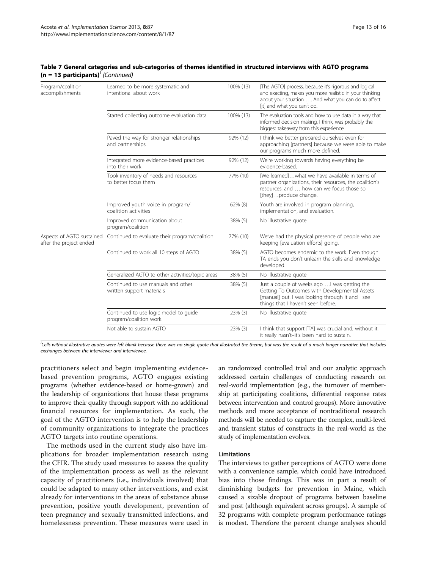| Program/coalition<br>accomplishments                 | Learned to be more systematic and<br>intentional about work     | 100% (13) | [The AGTO] process, because it's rigorous and logical<br>and exacting, makes you more realistic in your thinking<br>about your situation  And what you can do to affect<br>[it] and what you can't do. |
|------------------------------------------------------|-----------------------------------------------------------------|-----------|--------------------------------------------------------------------------------------------------------------------------------------------------------------------------------------------------------|
|                                                      | Started collecting outcome evaluation data                      | 100% (13) | The evaluation tools and how to use data in a way that<br>informed decision making, I think, was probably the<br>biggest takeaway from this experience.                                                |
|                                                      | Paved the way for stronger relationships<br>and partnerships    | 92% (12)  | I think we better prepared ourselves even for<br>approaching [partners] because we were able to make<br>our programs much more defined.                                                                |
|                                                      | Integrated more evidence-based practices<br>into their work     | 92% (12)  | We're working towards having everything be<br>evidence-based.                                                                                                                                          |
|                                                      | Took inventory of needs and resources<br>to better focus them   | 77% (10)  | [We learned]what we have available in terms of<br>partner organizations, their resources, the coalition's<br>resources, and  how can we focus those so<br>[they]produce change.                        |
|                                                      | Improved youth voice in program/<br>coalition activities        | 62% (8)   | Youth are involved in program planning,<br>implementation, and evaluation.                                                                                                                             |
|                                                      | Improved communication about<br>program/coalition               | 38% (5)   | No illustrative quote                                                                                                                                                                                  |
| Aspects of AGTO sustained<br>after the project ended | Continued to evaluate their program/coalition                   | 77% (10)  | We've had the physical presence of people who are<br>keeping [evaluation efforts] going.                                                                                                               |
|                                                      | Continued to work all 10 steps of AGTO                          | 38% (5)   | AGTO becomes endemic to the work. Even though<br>TA ends you don't unlearn the skills and knowledge<br>developed.                                                                                      |
|                                                      | Generalized AGTO to other activities/topic areas                | 38% (5)   | No illustrative quote                                                                                                                                                                                  |
|                                                      | Continued to use manuals and other<br>written support materials | 38% (5)   | Just a couple of weeks ago  I was getting the<br>Getting To Outcomes with Developmental Assets<br>[manual] out. I was looking through it and I see<br>things that I haven't seen before.               |
|                                                      | Continued to use logic model to guide<br>program/coalition work | 23% (3)   | No illustrative quote                                                                                                                                                                                  |
|                                                      | Not able to sustain AGTO                                        | 23% (3)   | I think that support [TA] was crucial and, without it,<br>it really hasn't-it's been hard to sustain.                                                                                                  |

#### Table 7 General categories and sub-categories of themes identified in structured interviews with AGTO programs  $(n = 13$  participants)<sup>l</sup> (Continued)

l Cells without illustrative quotes were left blank because there was no single quote that illustrated the theme, but was the result of a much longer narrative that includes exchanges between the interviewer and interviewee.

practitioners select and begin implementing evidencebased prevention programs, AGTO engages existing programs (whether evidence-based or home-grown) and the leadership of organizations that house these programs to improve their quality through support with no additional financial resources for implementation. As such, the goal of the AGTO intervention is to help the leadership of community organizations to integrate the practices AGTO targets into routine operations.

The methods used in the current study also have implications for broader implementation research using the CFIR. The study used measures to assess the quality of the implementation process as well as the relevant capacity of practitioners (i.e., individuals involved) that could be adapted to many other interventions, and exist already for interventions in the areas of substance abuse prevention, positive youth development, prevention of teen pregnancy and sexually transmitted infections, and homelessness prevention. These measures were used in an randomized controlled trial and our analytic approach addressed certain challenges of conducting research on real-world implementation (e.g., the turnover of membership at participating coalitions, differential response rates between intervention and control groups). More innovative methods and more acceptance of nontraditional research methods will be needed to capture the complex, multi-level and transient status of constructs in the real-world as the study of implementation evolves.

## Limitations

The interviews to gather perceptions of AGTO were done with a convenience sample, which could have introduced bias into those findings. This was in part a result of diminishing budgets for prevention in Maine, which caused a sizable dropout of programs between baseline and post (although equivalent across groups). A sample of 32 programs with complete program performance ratings is modest. Therefore the percent change analyses should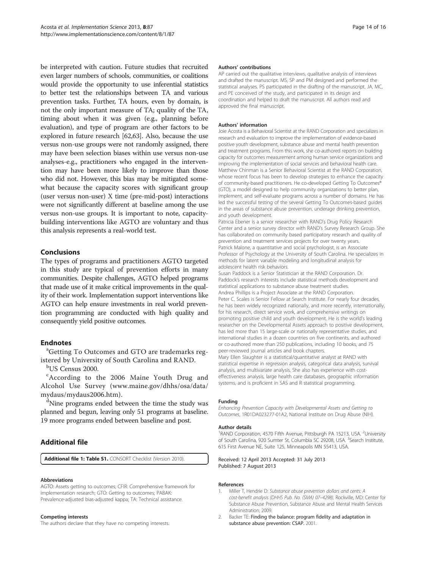<span id="page-13-0"></span>be interpreted with caution. Future studies that recruited even larger numbers of schools, communities, or coalitions would provide the opportunity to use inferential statistics to better test the relationships between TA and various prevention tasks. Further, TA hours, even by domain, is not the only important measure of TA; quality of the TA, timing about when it was given (e.g., planning before evaluation), and type of program are other factors to be explored in future research [\[62,63\]](#page-15-0). Also, because the use versus non-use groups were not randomly assigned, there may have been selection biases within use versus non-use analyses-e.g., practitioners who engaged in the intervention may have been more likely to improve than those who did not. However, this bias may be mitigated somewhat because the capacity scores with significant group (user versus non-user) X time (pre-mid-post) interactions were not significantly different at baseline among the use versus non-use groups. It is important to note, capacitybuilding interventions like AGTO are voluntary and thus this analysis represents a real-world test.

## Conclusions

The types of programs and practitioners AGTO targeted in this study are typical of prevention efforts in many communities. Despite challenges, AGTO helped programs that made use of it make critical improvements in the quality of their work. Implementation support interventions like AGTO can help ensure investments in real world prevention programming are conducted with high quality and consequently yield positive outcomes.

## **Endnotes**

Getting To Outcomes and GTO are trademarks registered by University of South Carolina and RAND.

b US Census 2000.

<sup>c</sup> According to the 2006 Maine Youth Drug and Alcohol Use Survey ([www.maine.gov/dhhs/osa/data/](http://www.maine.gov/dhhs/osa/data/mydaus/mydaus2006.htm) [mydaus/mydaus2006.htm](http://www.maine.gov/dhhs/osa/data/mydaus/mydaus2006.htm)).

<sup>d</sup>Nine programs ended between the time the study was planned and begun, leaving only 51 programs at baseline. 19 more programs ended between baseline and post.

## Additional file

[Additional file 1: Table S1.](http://www.biomedcentral.com/content/supplementary/1748-5908-8-87-S1.docx) CONSORT Checklist (Version 2010)

#### Abbreviations

AGTO: Assets getting to outcomes; CFIR: Comprehensive framework for implementation research; GTO: Getting to outcomes; PABAK: Prevalence-adjusted bias-adjusted kappa; TA: Technical assistance.

#### Competing interests

The authors declare that they have no competing interests.

#### Authors' contributions

AP carried out the qualitative interviews, qualitative analysis of interviews and drafted the manuscript. MS, SP and PM designed and performed the statistical analyses. PS participated in the drafting of the manuscript. JA, MC, and PE conceived of the study, and participated in its design and coordination and helped to draft the manuscript. All authors read and approved the final manuscript.

#### Authors' information

Joie Acosta is a Behavioral Scientist at the RAND Corporation and specializes in research and evaluation to improve the implementation of evidence-based positive youth development, substance abuse and mental health prevention and treatment programs. From this work, she co-authored reports on building capacity for outcomes measurement among human service organizations and improving the implementation of social services and behavioral health care. Matthew Chinman is a Senior Behavioral Scientist at the RAND Corporation, whose recent focus has been to develop strategies to enhance the capacity of community-based practitioners. He co-developed Getting To Outcomes® (GTO), a model designed to help community organizations to better plan, implement, and self-evaluate programs across a number of domains. He has led the successful testing of the several Getting To Outcomes-based guides in the areas of substance abuse prevention, underage drinking prevention, and youth development.

Patricia Ebener is a senior researcher with RAND's Drug Policy Research Center and a senior survey director with RAND's Survey Research Group. She has collaborated on community based participatory research and quality of prevention and treatment services projects for over twenty years. Patrick Malone, a quantitative and social psychologist, is an Associate Professor of Psychology at the University of South Carolina. He specializes in methods for latent variable modeling and longitudinal analysis for adolescent health risk behaviors.

Susan Paddock is a Senior Statistician at the RAND Corporation. Dr. Paddock's research interests include statistical methods development and statistical applications to substance abuse treatment studies. Andrea Phillips is a Project Associate at the RAND Corporation.

Peter C. Scales is Senior Fellow at Search Institute. For nearly four decades, he has been widely recognized nationally, and more recently, internationally, for his research, direct service work, and comprehensive writings on promoting positive child and youth development. He is the world's leading researcher on the Developmental Assets approach to positive development, has led more than 15 large-scale or nationally representative studies, and international studies in a dozen countries on five continents, and authored or co-authored more than 250 publications, including 10 books, and 75 peer-reviewed journal articles and book chapters.

Mary Ellen Slaughter is a statistical/quantitative analyst at RAND with statistical expertise in regression analysis, categorical data analysis, survival analysis, and multivariate analysis. She also has experience with costeffectiveness analysis, large health care databases, geographic information systems, and is proficient in SAS and R statistical programming.

#### Funding

Enhancing Prevention Capacity with Developmental Assets and Getting to Outcomes, 1R01DA023277-01A2, National Institute on Drug Abuse (NIH).

#### Author details

<sup>1</sup>RAND Corporation, 4570 Fifth Avenue, Pittsburgh PA 15213, USA. <sup>2</sup>University of South Carolina, 920 Sumter St, Columbia SC 29208, USA. <sup>3</sup>Search Institute 615 First Avenue NE, Suite 125, Minneapolis MN 55413, USA.

Received: 12 April 2013 Accepted: 31 July 2013 Published: 7 August 2013

#### References

- 1. Miller T, Hendrie D: Substance abuse prevention dollars and cents: A cost-benefit analysis (DHHS Pub. No. (SMA) 07–4298). Rockville, MD: Center for Substance Abuse Prevention, Substance Abuse and Mental Health Services Administration; 2009.
- 2. Backer TE: Finding the balance: program fidelity and adaptation in substance abuse prevention: CSAP. 2001.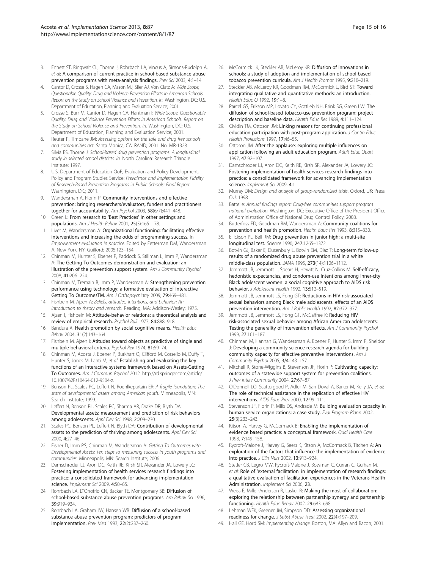- <span id="page-14-0"></span>3. Ennett ST, Ringwalt CL, Thorne J, Rohrbach LA, Vincus A, Simons-Rudolph A, et al: A comparison of current practice in school-based substance abuse prevention programs with meta-analysis findings. Prev Sci 2003, 4:1-14.
- Cantor D, Crosse S, Hagen CA, Mason MJ, Siler AJ, Von Glatz A: Wide Scope, Questionable Quality: Drug and Violence Prevention Efforts in American Schools. Report on the Study on School Violence and Prevention. In. Washington, DC: U.S. Department of Education, Planning and Evaluation Service; 2001.
- Crosse S, Burr M, Cantor D, Hagen CA, Hantman I: Wide Scope, Questionable Quality: Drug and Violence Prevention Efforts in American Schools. Report on the Study on School Violence and Prevention. In. Washington, DC: U.S. Department of Education, Planning and Evaluation Service; 2001.
- 6. Reuter P, Timpane JM: Assessing options for the safe and drug free schools and communities act. Santa Monica, CA: RAND; 2001. No. MR-1328.
- 7. Silvia ES, Thorne J: School-based drug prevention programs: A longitudinal study in selected school districts. In. North Carolina: Research Triangle Institute; 1997.
- U.S. Department of Education OoP, Evaluation and Policy Development, Policy and Program Studies Service: Prevalence and Implementation Fidelity of Research-Based Prevention Programs in Public Schools: Final Report. Washington, D.C; 2011.
- 9. Wandersman A, Florin P: Community interventions and effective prevention: bringing researchers/evaluators, funders and practitioners together for accountability. Am Psychol 2003, 58(6/7):441-448.
- 10. Green L: From research to 'Best Practices' in other settings and populations. Am J Health Behav 2001, 25(3):165–178.
- 11. Livet M, Wandersman A: Organizational functioning: facilitating effective interventions and increasing the odds of programming success. In Empowerment evaluation in practice. Edited by Fetterman DM, Wandersman A. New York, NY: Guilford; 2005:123–154.
- 12. Chinman M, Hunter S, Ebener P, Paddock S, Stillman L, Imm P, Wandersman A: The Getting To Outcomes demonstration and evaluation: an illustration of the prevention support system. Am J Community Psychol 2008, 41:206–224.
- 13. Chinman M, Tremain B, Imm P, Wandersman A: Strengthening prevention performance using technology: a formative evaluation of interactive Getting To OutcomesTM. Am J Orthopsychiatry 2009, 79:469–481.
- 14. Fishbein M, Ajzen A: Beliefs, attitudes, intentions, and behavior: An introduction to theory and research. Reading, MA: Addison-Wesley; 1975.
- 15. Ajzen I, Fishbein M: Attitude-behavior relations: a theoretical analysis and review of empirical research. Psychol Bull 1977, 84:888-918.
- 16. Bandura A: Health promotion by social cognitive means. Health Educ Behav 2004, 31(2):143–164.
- 17. Fishbein M, Ajzen I: Atitudes toward objects as predictive of single and multiple behavioral criteria. Psychol Rev 1974, 81:59–74.
- 18. Chinman M, Acosta J, Ebener P, Burkhart Q, Clifford M, Corsello M, Duffy T, Hunter S, Jones M, Lahti M, et al: Establishing and evaluating the key functions of an interactive systems framework based on Assets-Getting To Outcomes. Am J Commun Psychol 2012. [http://rd.springer.com/article/](http://rd.springer.com/article/10.1007%2Fs10464-012-9504-z) [10.1007%2Fs10464-012-9504-z.](http://rd.springer.com/article/10.1007%2Fs10464-012-9504-z)
- 19. Benson PL, Scales PC, Leffert N, Roehlkepartain ER: A fragile foundation: The state of developmental assets among American youth. Minneapolis, MN: Search Institute; 1999.
- 20. Leffert N, Benson PL, Scales PC, Sharma AR, Drake DR, Blyth DA: Developmental assets: measurement and prediction of risk behaviors among adolescents. Appl Dev Sci 1998, 2:209–230.
- 21. Scales PC, Benson PL, Leffert N, Blyth DA: Contribution of developmental assets to the prediction of thriving among adolescents. Appl Dev Sci 2000, 4:27–46.
- 22. Fisher D, Imm PS, Chinman M, Wandersman A: Getting To Outcomes with Developmental Assets: Ten steps to measuring success in youth programs and communities. Minneapolis, MN: Search Institute; 2006.
- 23. Damschroder LJ, Aron DC, Keith RE, Kirsh SR, Alexander JA, Lowery JC: Fostering implementation of health services research findings into practice: a consolidated framework for advancing implementation science. Implement Sci 2009, 4:50-65.
- 24. Rohrbach LA, D'Onofrio CN, Backer TE, Montgomery SB: Diffusion of school-based substance abuse prevention programs. Am Behav Sci 1996, 39:919–934.
- 25. Rohrbach LA, Graham JW, Hansen WB: Diffusion of a school-based substance abuse prevention program: predictors of program implementation. Prev Med 1993, 22(2):237–260.
- 26. McCormick LK, Steckler AB, McLeroy KR: Diffusion of innovations in schools: a study of adoption and implementation of school-based tobacco prevention curricula. Am J Health Promot 1995, 9:210–219.
- 27. Steckler AB, McLeroy KR, Goodman RM, McCormick L, Bird ST: Toward integrating qualitative and quantitative methods: an introduction. Health Educ Q 1992, 19:1–8.
- 28. Parcel GS, Erikson MP, Lovato CY, Gottlieb NH, Brink SG, Green LW: The diffusion of school-based tobacco-use prevention program: project description and baseline data. Health Educ Res 1989, 4:111–124.
- 29. Cividin TM, Ottoson JM: Linking reasons for continuing professional education participation with post-program application. J Contin Educ Health Professions 1997, 17:46–55.
- 30. Ottoson JM: After the applause: exploring multiple influences on application following an adult education program. Adult Educ Quart 1997, 47:92–107.
- 31. Damschroder LJ, Aron DC, Keith RE, Kirsh SR, Alexander JA, Lowery JC: Fostering implementation of health services research findings into practice: a consolidated framework for advancing implementation science. Implement Sci 2009, 4:1.
- 32. Murray DM: Design and analysis of group-randomized trials. Oxford, UK: Press OU; 1998.
- 33. Battelle: Annual findings report: Drug-free communities support program national evaluation. Washington, DC: Executive Office of the President Office of Administration Office of National Drug Control Policy; 2008.
- 34. Butterfoss FD, Goodman RM, Wandersman A: Community coalitions for prevention and health promotion. Health Educ Res 1993, 8:315–330.
- 35. Ellickson PL, Bell RM: Drug prevention in junior high: a multi-site longitudinal test. Science 1990, 247:1265–1372.
- 36. Botvin GJ, Baker E, Dusenbury L, Botvin EM, Diaz T: Long-term follow-up results of a randomized drug abuse prevention trial in a white middle-class population. JAMA 1995, 273(14):1106–1112.
- 37. Jemmott JB, Jemmott L, Spears H, Hewitt N, Cruz-Collins M: Self-efficacy, hedonistic expectancies, and condom-use intentions among inner-city Black adolescent women: a social cognitive approach to AIDS risk behavior. J Adolescent Health 1992, 13:512–519.
- Jemmott JB, Jemmott LS, Fong GT: Reductions in HIV risk-associated sexual behaviors among Black male adolescents: effects of an AIDS prevention intervention. Am J Public Health 1992, 82:372–377.
- 39. Jemmott JB, Jemmott LS, Fong GT, McCaffree K: Reducing HIV risk-associated sexual behavior among African American adolescents: Testing the generality of intervention effects. Am J Community Psychol 1999, 27:161–187.
- 40. Chinman M, Hannah G, Wandersman A, Ebener P, Hunter S, Imm P, Sheldon J: Developing a community science research agenda for building community capacity for effective preventive interventions. Am J Community Psychol 2005, 3/4:143–157.
- 41. Mitchell R, Stone-Wiggins B, Stevenson JF, Florin P: Cultivating capacity: outcomes of a statewide support system for prevention coalitions. J Prev Interv Community 2004, 27:67–87.
- 42. O'Donnell LO, Scattergood P, Adler M, San Doval A, Barker M, Kelly JA, et al: The role of technical assistance in the replication of effective HIV interventions. AIDS Educ Prev 2000, 12:99–111.
- 43. Stevenson JF, Florin P, Mills DS, Andrade M: Building evaluation capacity in human service organizations: a case study. Eval Program Plann 2002, 25(3):233–243.
- 44. Kitson A, Harvey G, McCormack B: Enabling the implementation of evidence based practice: a conceptual framework. Qual Health Care 1998, 7:149–158.
- 45. Rycroft-Malone J, Harvey G, Seers K, Kitson A, McCormack B, Titchen A: An exploration of the factors that influence the implementation of evidence into practice. J Clin Nurs 2002, 13:913–924.
- 46. Stetler CB, Legro MW, Rycroft-Malone J, Bowman C, Curran G, Guihan M, et al: Role of 'external facilitation' in implementation of research findings: a qualitative evaluation of facilitation experiences in the Veterans Health Administration. Implement Sci 2006, 23.
- 47. Weiss E, Miller-Anderson R, Lasker R: Making the most of collaboration: exploring the relationship between partnership synergy and partnership functioning. Health Educ Behav 2002, 29:683–698.
- Lehman WEK, Greener JM, Simpson DD: Assessing organizational readiness for change. J Subst Abuse Treat 2002, 22(4):197–209.
- 49. Hall GE, Hord SM: Implementing change. Boston, MA: Allyn and Bacon; 2001.